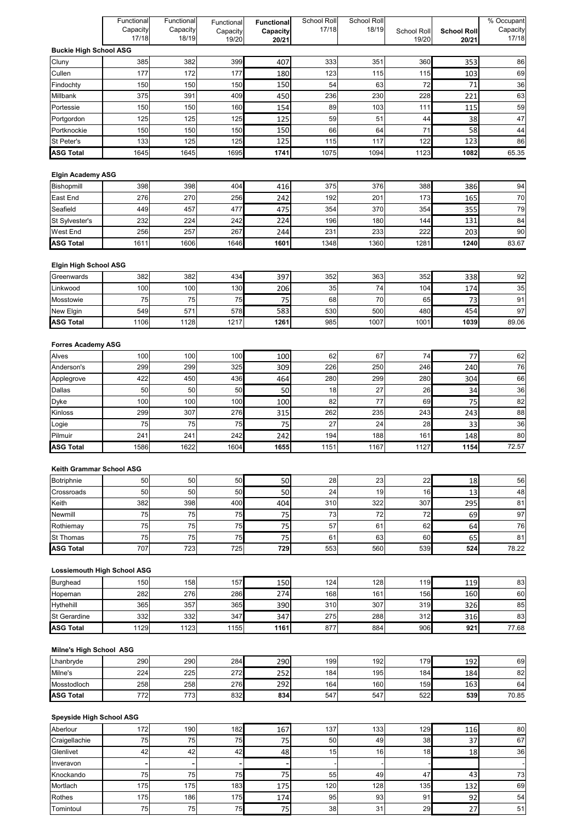|                                      | Functional | Functional | Functional | <b>Functional</b> | School Roll | School Roll |             |                    | % Occupant  |
|--------------------------------------|------------|------------|------------|-------------------|-------------|-------------|-------------|--------------------|-------------|
|                                      | Capacity   | Capacity   | Capacity   | Capacity          | 17/18       | 18/19       | School Roll | <b>School Roll</b> | Capacity    |
|                                      | 17/18      | 18/19      | 19/20      | 20/21             |             |             | 19/20       | 20/21              | 17/18       |
| <b>Buckie High School ASG</b>        |            |            |            |                   |             |             |             |                    |             |
| Cluny                                | 385        | 382        | 399        | 407               | 333         | 351         | 360         | 353                | 86          |
| Cullen<br>Findochty                  | 177<br>150 | 172<br>150 | 177<br>150 | 180               | 123<br>54   | 115<br>63   | 115<br>72   | 103<br>71          | 69<br>36    |
| Millbank                             | 375        | 391        | 409        | 150<br>450        | 236         | 230         | 228         | 221                | 63          |
| Portessie                            | 150        | 150        | 160        | 154               | 89          | 103         | 111         | 115                | 59          |
| Portgordon                           | 125        | 125        | 125        | 125               | 59          | 51          | 44          | 38                 | 47          |
| Portknockie                          | 150        | 150        | 150        | 150               | 66          | 64          | 71          | 58                 | 44          |
| St Peter's                           | 133        | 125        | 125        | 125               | 115         | 117         | 122         | 123                | 86          |
| <b>ASG Total</b>                     | 1645       | 1645       | 1695       | 1741              | 1075        | 1094        | 1123        | 1082               | 65.35       |
|                                      |            |            |            |                   |             |             |             |                    |             |
| <b>Elgin Academy ASG</b>             |            |            |            |                   |             |             |             |                    |             |
| Bishopmill                           | 398        | 398        | 404        | 416               | 375         | 376         | 388         | 386                | 94          |
| East End                             | 276        | 270        | 256        | 242               | 192         | 201         | 173         | 165                | 70          |
| Seafield                             | 449        | 457        | 477        | 475               | 354         | 370         | 354         | 355                | 79          |
| St Sylvester's                       | 232        | 224        | 242        | 224               | 196         | 180         | 144         | 131                | 84          |
| <b>West End</b>                      | 256        | 257        | 267        | 244               | 231         | 233         | 222         | 203                | 90          |
| <b>ASG Total</b>                     | 1611       | 1606       | 1646       | 1601              | 1348        | 1360        | 1281        | 1240               | 83.67       |
|                                      |            |            |            |                   |             |             |             |                    |             |
| <b>Elgin High School ASG</b>         |            |            |            |                   |             |             |             |                    |             |
| Greenwards                           | 382<br>100 | 382<br>100 | 434<br>130 | 397               | 352<br>35   | 363<br>74   | 352<br>104  | 338                | 92<br>35    |
| Linkwood<br>Mosstowie                | 75         | 75         | 75         | 206<br>75         | 68          | 70          | 65          | 174<br>73          | 91          |
| New Elgin                            | 549        | 571        | 578        | 583               | 530         | 500         | 480         | 454                | 97          |
| <b>ASG Total</b>                     | 1106       | 1128       | 1217       | 1261              | 985         | 1007        | 1001        | 1039               | 89.06       |
|                                      |            |            |            |                   |             |             |             |                    |             |
| <b>Forres Academy ASG</b>            |            |            |            |                   |             |             |             |                    |             |
| Alves                                | 100        | 100        | 100        | 100               | 62          | 67          | 74          | 77                 | 62          |
| Anderson's                           | 299        | 299        | 325        | 309               | 226         | 250         | 246         | 240                | 76          |
| Applegrove                           | 422        | 450        | 436        | 464               | 280         | 299         | 280         | 304                | 66          |
| Dallas                               | 50         | 50         | 50         | 50                | 18          | 27          | 26          | 34                 | 36          |
| <b>Dyke</b>                          | 100        | 100        | 100        | 100               | 82          | 77          | 69          | 75                 | 82          |
| Kinloss                              | 299        | 307        | 276        | 315               | 262         | 235         | 243         | 243                | 88          |
| Logie                                | 75         | 75         | 75         | 75                | 27          | 24          | 28          | 33                 | 36          |
| Pilmuir                              | 241        | 241        | 242        | 242               | 194         | 188         | 161         | 148                | 80          |
| <b>ASG Total</b>                     | 1586       | 1622       | 1604       | 1655              | 1151        | 1167        | 1127        | 1154               | 72.57       |
|                                      |            |            |            |                   |             |             |             |                    |             |
| Keith Grammar School ASG             |            |            |            |                   |             |             |             |                    |             |
| Botriphnie                           | 50         | 50         | 50         | 50                | 28          | 23          | 22          | 18                 | 56          |
| Crossroads                           | 50         | 50         | 50         | 50                | 24          | 19          | 16          | 13                 | 48          |
| Keith                                | 382        | 398        | 400        | 404               | 310         | 322         | 307         | 295                | 81          |
| Newmill                              | 75         | 75         | 75         | 75                | 73          | 72          | 72          | 69                 | 97          |
| Rothiemay                            | 75         | 75         | 75         | 75                | 57          | 61          | 62          | 64                 | 76          |
| <b>St Thomas</b><br><b>ASG Total</b> | 75<br>707  | 75<br>723  | 75<br>725  | 75<br>729         | 61<br>553   | 63<br>560   | 60<br>539   | 65<br>524          | 81<br>78.22 |
|                                      |            |            |            |                   |             |             |             |                    |             |
| <b>Lossiemouth High School ASG</b>   |            |            |            |                   |             |             |             |                    |             |
| <b>Burghead</b>                      | 150        | 158        | 157        | 150               | 124         | 128         | 119         | 119                | 83          |
| Hopeman                              | 282        | 276        | 286        | 274               | 168         | 161         | 156         | 160                | 60          |
| Hythehill                            | 365        | 357        | 365        | 390               | 310         | 307         | 319         | 326                | 85          |
| <b>St Gerardine</b>                  | 332        | 332        | 347        | 347               | 275         | 288         | 312         | 316                | 83          |
| <b>ASG Total</b>                     | 1129       | 1123       | 1155       | 1161              | 877         | 884         | 906         | 921                | 77.68       |
|                                      |            |            |            |                   |             |             |             |                    |             |
| <b>Milne's High School ASG</b>       |            |            |            |                   |             |             |             |                    |             |
| Lhanbryde                            | 290        | 290        | 284        | 290               | 199         | 192         | 179         | 192                | 69          |
| Milne's                              | 224        | 225        | 272        | 252               | 184         | 195         | 184         | 184                | 82          |
| Mosstodloch                          | 258        | 258        | 276        | 292               | 164         | 160         | 159         | 163                | 64          |
| <b>ASG Total</b>                     | 772        | 773        | 832        | 834               | 547         | 547         | 522         | 539                | 70.85       |
|                                      |            |            |            |                   |             |             |             |                    |             |
| <b>Speyside High School ASG</b>      |            |            |            |                   |             |             |             |                    |             |
| Aberlour                             | 172        | 190        | 182        | 167               | 137         | 133         | 129         | 116                | 80          |
| Craigellachie                        | 75         | 75         | 75         | 75                | 50          | 49          | 38          | 37                 | 67          |
| Glenlivet                            | 42         | 42         | 42         | 48                | 15          | 16          | 18          | 18                 | 36          |
| Inveravon                            |            |            |            |                   |             |             |             |                    |             |
| Knockando                            | 75         | 75         | 75         | 75                | 55          | 49          | 47          | 43                 | $73\,$      |
| Mortlach<br>Rothes                   | 175<br>175 | 175        | 183<br>175 | 175               | 120<br>95   | 128<br>93   | 135<br>91   | 132                | 69          |
|                                      |            | 186        |            | 174               |             |             |             | 92                 | 54          |

Tomintoul 75 75 75 75 38 31 29 27 51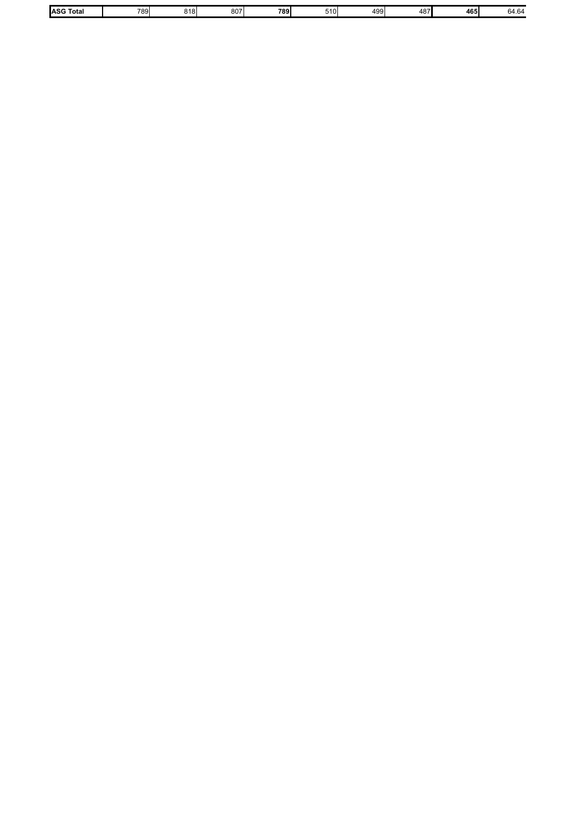| ASG T<br>Total | 789. | ו הו | $80-$ | 700.<br>0. | $\sim$<br>49<br>ີ | . . | 165 I<br>טי | n |
|----------------|------|------|-------|------------|-------------------|-----|-------------|---|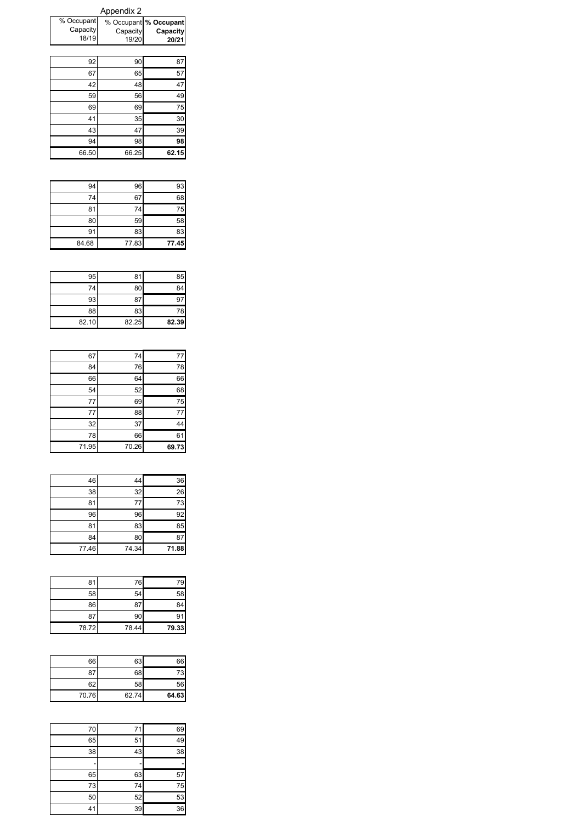|                                 | <b>Appendix 2</b> |                                            |
|---------------------------------|-------------------|--------------------------------------------|
| % Occupant<br>Capacity<br>18/19 | Capacity<br>19/20 | % Occupant % Occupant<br>Capacity<br>20/21 |
|                                 |                   |                                            |
| 92                              | 90                | 87                                         |
| 67                              | 65                | 57                                         |
| 42                              | 48                | 47                                         |
| 59                              | 56                | 49                                         |
| 69                              | 69                | 75                                         |
| 41                              | 35                | 30                                         |
| 43                              | 47                | 39                                         |
| 94                              | 98                | 98                                         |
| 66.50                           | 66.25             | 62.15                                      |

| 84.68 | 77.83 | 77.45 |
|-------|-------|-------|
| 91    | 83    | 83    |
| 80    | 59    | 58    |
| 81    | 74    | 75    |
| 74    | 67    | 68    |
| 94    | 96    | 93    |

| 95    | 81    | 85    |
|-------|-------|-------|
| 74    | 80    | 84    |
| 93    | 87    | 9.    |
| 88    | 83    | 78    |
| 82.10 | 82.25 | 82.39 |

| 67    | 74    | 77    |
|-------|-------|-------|
| 84    | 76    | 78    |
| 66    | 64    | 66    |
| 54    | 52    | 68    |
| 77    | 69    | 75    |
| 77    | 88    | 77    |
| 32    | 37    | 44    |
| 78    | 66    | 61    |
| 71.95 | 70.26 | 69.73 |

| 46    | 44    | 36    |
|-------|-------|-------|
| 38    | 32    | 26    |
| 81    | 77    | 73    |
| 96    | 96    | 92    |
| 81    | 83    | 85    |
| 84    | 80    | 87    |
| 77.46 | 74.34 | 71.88 |

| 81    | 76    | 79    |
|-------|-------|-------|
| 58    | 54    | 58    |
| 86    | 87    | 84    |
| 87    | 90    | 91    |
| 78.72 | 78.44 | 79.33 |

|       | 63    | 66    |
|-------|-------|-------|
|       | 68    |       |
|       | 58    | 62    |
| 64.63 | 62.74 | 70.76 |

| 70 | 71 | 69 |
|----|----|----|
| 65 | 51 | 49 |
| 38 | 43 | 38 |
|    |    |    |
| 65 | 63 | 57 |
| 73 | 74 | 75 |
| 50 | 52 | 53 |
| 41 | 39 | 36 |